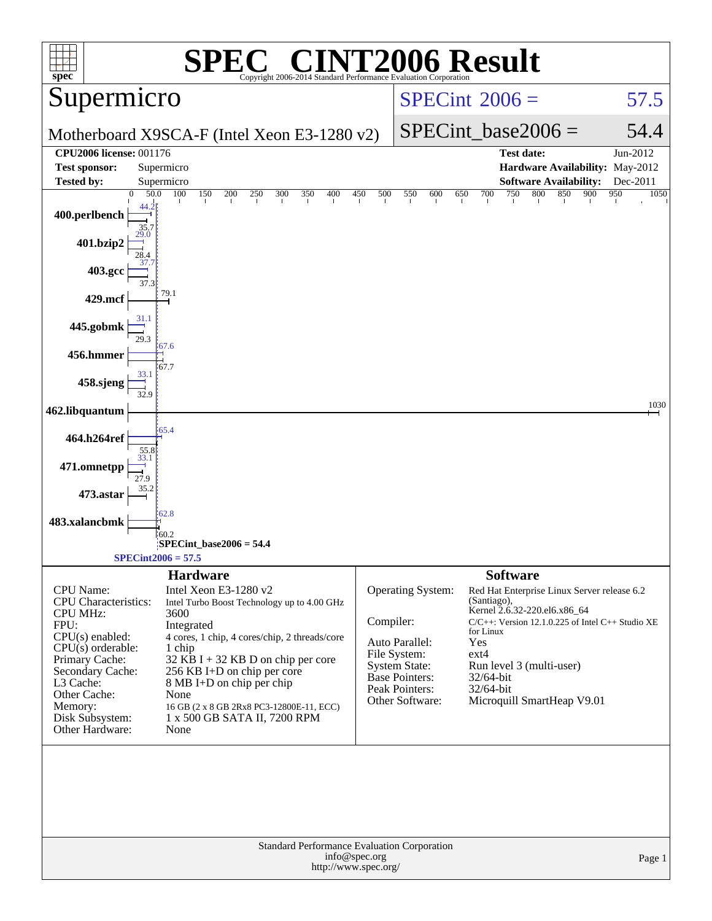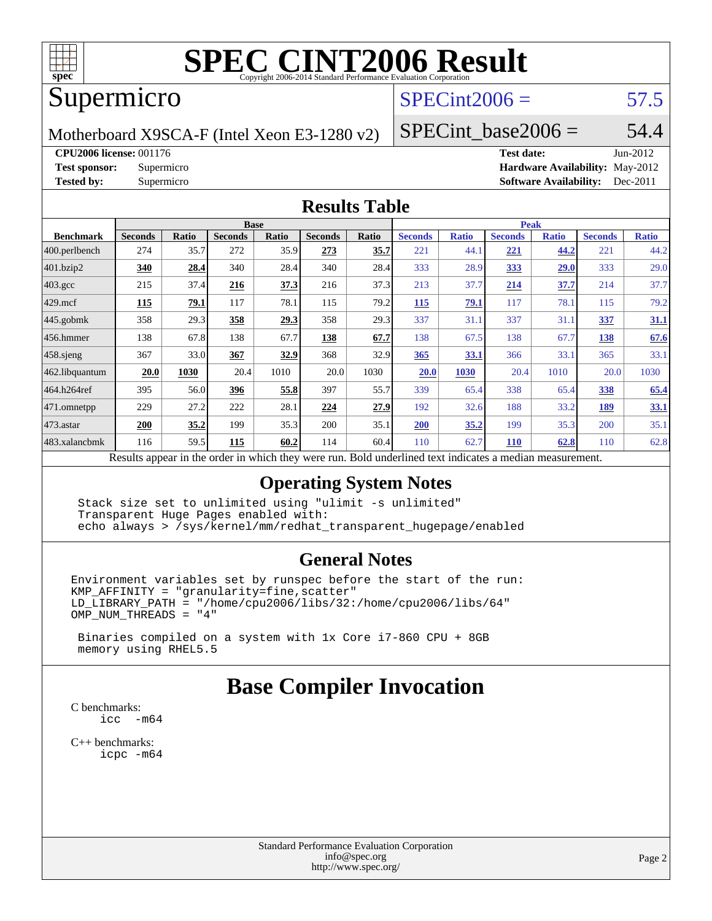

### Supermicro

#### $SPECTnt2006 = 57.5$

Motherboard X9SCA-F (Intel Xeon E3-1280 v2)

SPECint base2006 =  $54.4$ 

#### **[CPU2006 license:](http://www.spec.org/auto/cpu2006/Docs/result-fields.html#CPU2006license)** 001176 **[Test date:](http://www.spec.org/auto/cpu2006/Docs/result-fields.html#Testdate)** Jun-2012

**[Test sponsor:](http://www.spec.org/auto/cpu2006/Docs/result-fields.html#Testsponsor)** Supermicro **[Hardware Availability:](http://www.spec.org/auto/cpu2006/Docs/result-fields.html#HardwareAvailability)** May-2012 **[Tested by:](http://www.spec.org/auto/cpu2006/Docs/result-fields.html#Testedby)** Supermicro **Supermicro [Software Availability:](http://www.spec.org/auto/cpu2006/Docs/result-fields.html#SoftwareAvailability)** Dec-2011

#### **[Results Table](http://www.spec.org/auto/cpu2006/Docs/result-fields.html#ResultsTable)**

|                         | <b>Base</b>    |              |                |       |                |       | <b>Peak</b>                                                                                              |              |                |              |                |              |
|-------------------------|----------------|--------------|----------------|-------|----------------|-------|----------------------------------------------------------------------------------------------------------|--------------|----------------|--------------|----------------|--------------|
| <b>Benchmark</b>        | <b>Seconds</b> | <b>Ratio</b> | <b>Seconds</b> | Ratio | <b>Seconds</b> | Ratio | <b>Seconds</b>                                                                                           | <b>Ratio</b> | <b>Seconds</b> | <b>Ratio</b> | <b>Seconds</b> | <b>Ratio</b> |
| $ 400.\text{perlbench}$ | 274            | 35.7         | 272            | 35.9  | 273            | 35.7  | 221                                                                                                      | 44.1         | 221            | 44.2         | 221            | 44.2         |
| 401.bzip2               | 340            | 28.4         | 340            | 28.4  | 340            | 28.4  | 333                                                                                                      | 28.9         | 333            | 29.0         | 333            | 29.0         |
| $403.\text{gcc}$        | 215            | 37.4         | 216            | 37.3  | 216            | 37.3  | 213                                                                                                      | 37.7         | 214            | 37.7         | 214            | 37.7         |
| $429$ mcf               | 115            | 79.1         | 117            | 78.1  | 115            | 79.2  | 115                                                                                                      | 79.1         | 117            | 78.1         | 115            | 79.2         |
| $445$ .gobmk            | 358            | 29.3         | 358            | 29.3  | 358            | 29.3  | 337                                                                                                      | 31.1         | 337            | 31.1         | 337            | <u>31.1</u>  |
| $ 456$ .hmmer           | 138            | 67.8         | 138            | 67.7  | 138            | 67.7  | 138                                                                                                      | 67.5         | 138            | 67.7         | 138            | 67.6         |
| $ 458 \text{.}$ sjeng   | 367            | 33.0         | 367            | 32.9  | 368            | 32.9  | 365                                                                                                      | 33.1         | 366            | 33.1         | 365            | 33.1         |
| 462.libquantum          | 20.0           | 1030         | 20.4           | 1010  | 20.0           | 1030  | 20.0                                                                                                     | 1030         | 20.4           | 1010         | 20.0           | 1030         |
| 464.h264ref             | 395            | 56.0         | 396            | 55.8  | 397            | 55.7  | 339                                                                                                      | 65.4         | 338            | 65.4         | 338            | 65.4         |
| $471$ .omnetpp          | 229            | 27.2         | 222            | 28.1  | 224            | 27.9  | 192                                                                                                      | 32.6         | 188            | 33.2         | 189            | 33.1         |
| $473$ . astar           | <b>200</b>     | 35.2         | 199            | 35.3  | 200            | 35.1  | <b>200</b>                                                                                               | 35.2         | 199            | 35.3         | 200            | 35.1         |
| 483.xalancbmk           | 116            | 59.5         | 115            | 60.2  | 114            | 60.4  | 110                                                                                                      | 62.7         | <b>110</b>     | 62.8         | 110            | 62.8         |
|                         |                |              |                |       |                |       | Results appear in the order in which they were run. Bold underlined text indicates a median measurement. |              |                |              |                |              |

#### **[Operating System Notes](http://www.spec.org/auto/cpu2006/Docs/result-fields.html#OperatingSystemNotes)**

 Stack size set to unlimited using "ulimit -s unlimited" Transparent Huge Pages enabled with: echo always > /sys/kernel/mm/redhat\_transparent\_hugepage/enabled

#### **[General Notes](http://www.spec.org/auto/cpu2006/Docs/result-fields.html#GeneralNotes)**

Environment variables set by runspec before the start of the run: KMP\_AFFINITY = "granularity=fine,scatter" LD\_LIBRARY\_PATH = "/home/cpu2006/libs/32:/home/cpu2006/libs/64" OMP\_NUM\_THREADS = "4"

 Binaries compiled on a system with 1x Core i7-860 CPU + 8GB memory using RHEL5.5

#### **[Base Compiler Invocation](http://www.spec.org/auto/cpu2006/Docs/result-fields.html#BaseCompilerInvocation)**

[C benchmarks](http://www.spec.org/auto/cpu2006/Docs/result-fields.html#Cbenchmarks): [icc -m64](http://www.spec.org/cpu2006/results/res2012q3/cpu2006-20120618-23045.flags.html#user_CCbase_intel_icc_64bit_f346026e86af2a669e726fe758c88044)

[C++ benchmarks:](http://www.spec.org/auto/cpu2006/Docs/result-fields.html#CXXbenchmarks) [icpc -m64](http://www.spec.org/cpu2006/results/res2012q3/cpu2006-20120618-23045.flags.html#user_CXXbase_intel_icpc_64bit_fc66a5337ce925472a5c54ad6a0de310)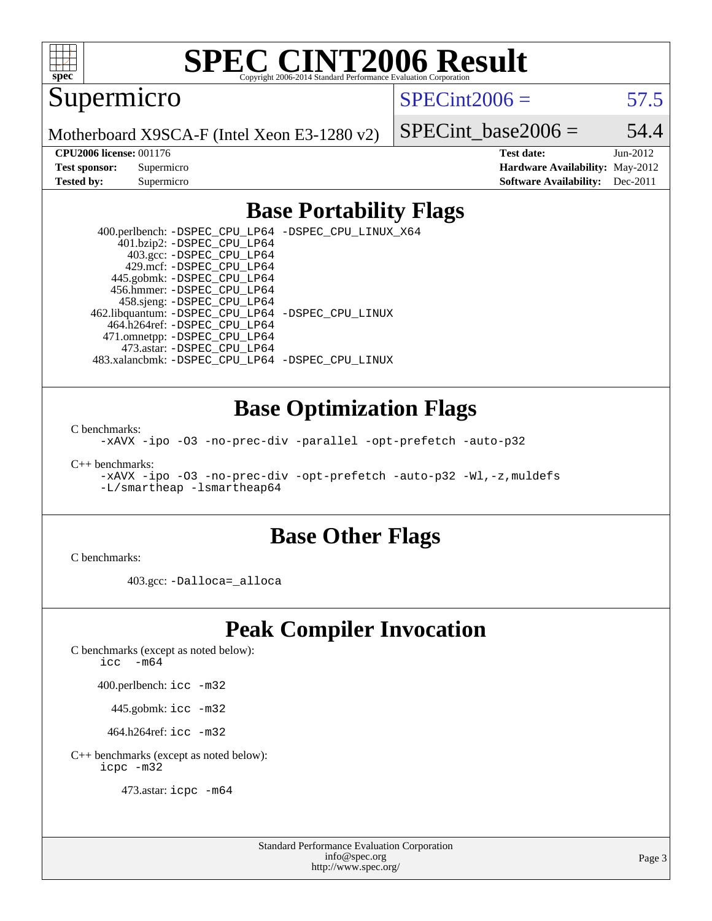

Supermicro

 $SPECint2006 = 57.5$  $SPECint2006 = 57.5$ 

Motherboard X9SCA-F (Intel Xeon E3-1280 v2)

SPECint base2006 =  $54.4$ 

**[CPU2006 license:](http://www.spec.org/auto/cpu2006/Docs/result-fields.html#CPU2006license)** 001176 **[Test date:](http://www.spec.org/auto/cpu2006/Docs/result-fields.html#Testdate)** Jun-2012 **[Test sponsor:](http://www.spec.org/auto/cpu2006/Docs/result-fields.html#Testsponsor)** Supermicro **[Hardware Availability:](http://www.spec.org/auto/cpu2006/Docs/result-fields.html#HardwareAvailability)** May-2012 **[Tested by:](http://www.spec.org/auto/cpu2006/Docs/result-fields.html#Testedby)** Supermicro **Supermicro [Software Availability:](http://www.spec.org/auto/cpu2006/Docs/result-fields.html#SoftwareAvailability)** Dec-2011

#### **[Base Portability Flags](http://www.spec.org/auto/cpu2006/Docs/result-fields.html#BasePortabilityFlags)**

 400.perlbench: [-DSPEC\\_CPU\\_LP64](http://www.spec.org/cpu2006/results/res2012q3/cpu2006-20120618-23045.flags.html#b400.perlbench_basePORTABILITY_DSPEC_CPU_LP64) [-DSPEC\\_CPU\\_LINUX\\_X64](http://www.spec.org/cpu2006/results/res2012q3/cpu2006-20120618-23045.flags.html#b400.perlbench_baseCPORTABILITY_DSPEC_CPU_LINUX_X64) 401.bzip2: [-DSPEC\\_CPU\\_LP64](http://www.spec.org/cpu2006/results/res2012q3/cpu2006-20120618-23045.flags.html#suite_basePORTABILITY401_bzip2_DSPEC_CPU_LP64) 403.gcc: [-DSPEC\\_CPU\\_LP64](http://www.spec.org/cpu2006/results/res2012q3/cpu2006-20120618-23045.flags.html#suite_basePORTABILITY403_gcc_DSPEC_CPU_LP64) 429.mcf: [-DSPEC\\_CPU\\_LP64](http://www.spec.org/cpu2006/results/res2012q3/cpu2006-20120618-23045.flags.html#suite_basePORTABILITY429_mcf_DSPEC_CPU_LP64) 445.gobmk: [-DSPEC\\_CPU\\_LP64](http://www.spec.org/cpu2006/results/res2012q3/cpu2006-20120618-23045.flags.html#suite_basePORTABILITY445_gobmk_DSPEC_CPU_LP64) 456.hmmer: [-DSPEC\\_CPU\\_LP64](http://www.spec.org/cpu2006/results/res2012q3/cpu2006-20120618-23045.flags.html#suite_basePORTABILITY456_hmmer_DSPEC_CPU_LP64) 458.sjeng: [-DSPEC\\_CPU\\_LP64](http://www.spec.org/cpu2006/results/res2012q3/cpu2006-20120618-23045.flags.html#suite_basePORTABILITY458_sjeng_DSPEC_CPU_LP64) 462.libquantum: [-DSPEC\\_CPU\\_LP64](http://www.spec.org/cpu2006/results/res2012q3/cpu2006-20120618-23045.flags.html#suite_basePORTABILITY462_libquantum_DSPEC_CPU_LP64) [-DSPEC\\_CPU\\_LINUX](http://www.spec.org/cpu2006/results/res2012q3/cpu2006-20120618-23045.flags.html#b462.libquantum_baseCPORTABILITY_DSPEC_CPU_LINUX) 464.h264ref: [-DSPEC\\_CPU\\_LP64](http://www.spec.org/cpu2006/results/res2012q3/cpu2006-20120618-23045.flags.html#suite_basePORTABILITY464_h264ref_DSPEC_CPU_LP64) 471.omnetpp: [-DSPEC\\_CPU\\_LP64](http://www.spec.org/cpu2006/results/res2012q3/cpu2006-20120618-23045.flags.html#suite_basePORTABILITY471_omnetpp_DSPEC_CPU_LP64) 473.astar: [-DSPEC\\_CPU\\_LP64](http://www.spec.org/cpu2006/results/res2012q3/cpu2006-20120618-23045.flags.html#suite_basePORTABILITY473_astar_DSPEC_CPU_LP64) 483.xalancbmk: [-DSPEC\\_CPU\\_LP64](http://www.spec.org/cpu2006/results/res2012q3/cpu2006-20120618-23045.flags.html#suite_basePORTABILITY483_xalancbmk_DSPEC_CPU_LP64) [-DSPEC\\_CPU\\_LINUX](http://www.spec.org/cpu2006/results/res2012q3/cpu2006-20120618-23045.flags.html#b483.xalancbmk_baseCXXPORTABILITY_DSPEC_CPU_LINUX)

#### **[Base Optimization Flags](http://www.spec.org/auto/cpu2006/Docs/result-fields.html#BaseOptimizationFlags)**

[C benchmarks](http://www.spec.org/auto/cpu2006/Docs/result-fields.html#Cbenchmarks):

[-xAVX](http://www.spec.org/cpu2006/results/res2012q3/cpu2006-20120618-23045.flags.html#user_CCbase_f-xAVX) [-ipo](http://www.spec.org/cpu2006/results/res2012q3/cpu2006-20120618-23045.flags.html#user_CCbase_f-ipo) [-O3](http://www.spec.org/cpu2006/results/res2012q3/cpu2006-20120618-23045.flags.html#user_CCbase_f-O3) [-no-prec-div](http://www.spec.org/cpu2006/results/res2012q3/cpu2006-20120618-23045.flags.html#user_CCbase_f-no-prec-div) [-parallel](http://www.spec.org/cpu2006/results/res2012q3/cpu2006-20120618-23045.flags.html#user_CCbase_f-parallel) [-opt-prefetch](http://www.spec.org/cpu2006/results/res2012q3/cpu2006-20120618-23045.flags.html#user_CCbase_f-opt-prefetch) [-auto-p32](http://www.spec.org/cpu2006/results/res2012q3/cpu2006-20120618-23045.flags.html#user_CCbase_f-auto-p32)

[C++ benchmarks:](http://www.spec.org/auto/cpu2006/Docs/result-fields.html#CXXbenchmarks)

[-xAVX](http://www.spec.org/cpu2006/results/res2012q3/cpu2006-20120618-23045.flags.html#user_CXXbase_f-xAVX) [-ipo](http://www.spec.org/cpu2006/results/res2012q3/cpu2006-20120618-23045.flags.html#user_CXXbase_f-ipo) [-O3](http://www.spec.org/cpu2006/results/res2012q3/cpu2006-20120618-23045.flags.html#user_CXXbase_f-O3) [-no-prec-div](http://www.spec.org/cpu2006/results/res2012q3/cpu2006-20120618-23045.flags.html#user_CXXbase_f-no-prec-div) [-opt-prefetch](http://www.spec.org/cpu2006/results/res2012q3/cpu2006-20120618-23045.flags.html#user_CXXbase_f-opt-prefetch) [-auto-p32](http://www.spec.org/cpu2006/results/res2012q3/cpu2006-20120618-23045.flags.html#user_CXXbase_f-auto-p32) [-Wl,-z,muldefs](http://www.spec.org/cpu2006/results/res2012q3/cpu2006-20120618-23045.flags.html#user_CXXbase_link_force_multiple1_74079c344b956b9658436fd1b6dd3a8a) [-L/smartheap -lsmartheap64](http://www.spec.org/cpu2006/results/res2012q3/cpu2006-20120618-23045.flags.html#user_CXXbase_SmartHeap64_5e654037dadeae1fe403ab4b4466e60b)

#### **[Base Other Flags](http://www.spec.org/auto/cpu2006/Docs/result-fields.html#BaseOtherFlags)**

[C benchmarks](http://www.spec.org/auto/cpu2006/Docs/result-fields.html#Cbenchmarks):

403.gcc: [-Dalloca=\\_alloca](http://www.spec.org/cpu2006/results/res2012q3/cpu2006-20120618-23045.flags.html#b403.gcc_baseEXTRA_CFLAGS_Dalloca_be3056838c12de2578596ca5467af7f3)

### **[Peak Compiler Invocation](http://www.spec.org/auto/cpu2006/Docs/result-fields.html#PeakCompilerInvocation)**

[C benchmarks \(except as noted below\)](http://www.spec.org/auto/cpu2006/Docs/result-fields.html#Cbenchmarksexceptasnotedbelow):

[icc -m64](http://www.spec.org/cpu2006/results/res2012q3/cpu2006-20120618-23045.flags.html#user_CCpeak_intel_icc_64bit_f346026e86af2a669e726fe758c88044)

400.perlbench: [icc -m32](http://www.spec.org/cpu2006/results/res2012q3/cpu2006-20120618-23045.flags.html#user_peakCCLD400_perlbench_intel_icc_a6a621f8d50482236b970c6ac5f55f93)

445.gobmk: [icc -m32](http://www.spec.org/cpu2006/results/res2012q3/cpu2006-20120618-23045.flags.html#user_peakCCLD445_gobmk_intel_icc_a6a621f8d50482236b970c6ac5f55f93)

464.h264ref: [icc -m32](http://www.spec.org/cpu2006/results/res2012q3/cpu2006-20120618-23045.flags.html#user_peakCCLD464_h264ref_intel_icc_a6a621f8d50482236b970c6ac5f55f93)

[C++ benchmarks \(except as noted below\):](http://www.spec.org/auto/cpu2006/Docs/result-fields.html#CXXbenchmarksexceptasnotedbelow) [icpc -m32](http://www.spec.org/cpu2006/results/res2012q3/cpu2006-20120618-23045.flags.html#user_CXXpeak_intel_icpc_4e5a5ef1a53fd332b3c49e69c3330699)

473.astar: [icpc -m64](http://www.spec.org/cpu2006/results/res2012q3/cpu2006-20120618-23045.flags.html#user_peakCXXLD473_astar_intel_icpc_64bit_fc66a5337ce925472a5c54ad6a0de310)

Standard Performance Evaluation Corporation [info@spec.org](mailto:info@spec.org) <http://www.spec.org/>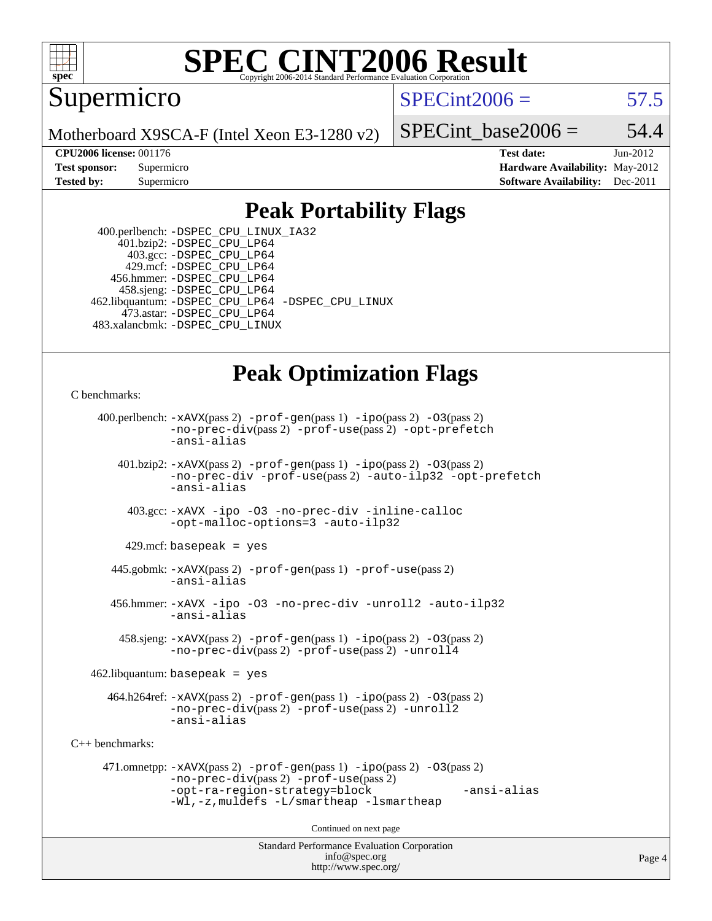

Supermicro

 $SPECint2006 = 57.5$  $SPECint2006 = 57.5$ 

Motherboard X9SCA-F (Intel Xeon E3-1280 v2)

SPECint base2006 =  $54.4$ 

**[CPU2006 license:](http://www.spec.org/auto/cpu2006/Docs/result-fields.html#CPU2006license)** 001176 **[Test date:](http://www.spec.org/auto/cpu2006/Docs/result-fields.html#Testdate)** Jun-2012 **[Test sponsor:](http://www.spec.org/auto/cpu2006/Docs/result-fields.html#Testsponsor)** Supermicro Supermicro **[Hardware Availability:](http://www.spec.org/auto/cpu2006/Docs/result-fields.html#HardwareAvailability)** May-2012 **[Tested by:](http://www.spec.org/auto/cpu2006/Docs/result-fields.html#Testedby)** Supermicro **Supermicro [Software Availability:](http://www.spec.org/auto/cpu2006/Docs/result-fields.html#SoftwareAvailability)** Dec-2011

#### **[Peak Portability Flags](http://www.spec.org/auto/cpu2006/Docs/result-fields.html#PeakPortabilityFlags)**

 400.perlbench: [-DSPEC\\_CPU\\_LINUX\\_IA32](http://www.spec.org/cpu2006/results/res2012q3/cpu2006-20120618-23045.flags.html#b400.perlbench_peakCPORTABILITY_DSPEC_CPU_LINUX_IA32) 401.bzip2: [-DSPEC\\_CPU\\_LP64](http://www.spec.org/cpu2006/results/res2012q3/cpu2006-20120618-23045.flags.html#suite_peakPORTABILITY401_bzip2_DSPEC_CPU_LP64) 403.gcc: [-DSPEC\\_CPU\\_LP64](http://www.spec.org/cpu2006/results/res2012q3/cpu2006-20120618-23045.flags.html#suite_peakPORTABILITY403_gcc_DSPEC_CPU_LP64) 429.mcf: [-DSPEC\\_CPU\\_LP64](http://www.spec.org/cpu2006/results/res2012q3/cpu2006-20120618-23045.flags.html#suite_peakPORTABILITY429_mcf_DSPEC_CPU_LP64) 456.hmmer: [-DSPEC\\_CPU\\_LP64](http://www.spec.org/cpu2006/results/res2012q3/cpu2006-20120618-23045.flags.html#suite_peakPORTABILITY456_hmmer_DSPEC_CPU_LP64) 458.sjeng: [-DSPEC\\_CPU\\_LP64](http://www.spec.org/cpu2006/results/res2012q3/cpu2006-20120618-23045.flags.html#suite_peakPORTABILITY458_sjeng_DSPEC_CPU_LP64) 462.libquantum: [-DSPEC\\_CPU\\_LP64](http://www.spec.org/cpu2006/results/res2012q3/cpu2006-20120618-23045.flags.html#suite_peakPORTABILITY462_libquantum_DSPEC_CPU_LP64) [-DSPEC\\_CPU\\_LINUX](http://www.spec.org/cpu2006/results/res2012q3/cpu2006-20120618-23045.flags.html#b462.libquantum_peakCPORTABILITY_DSPEC_CPU_LINUX) 473.astar: [-DSPEC\\_CPU\\_LP64](http://www.spec.org/cpu2006/results/res2012q3/cpu2006-20120618-23045.flags.html#suite_peakPORTABILITY473_astar_DSPEC_CPU_LP64) 483.xalancbmk: [-DSPEC\\_CPU\\_LINUX](http://www.spec.org/cpu2006/results/res2012q3/cpu2006-20120618-23045.flags.html#b483.xalancbmk_peakCXXPORTABILITY_DSPEC_CPU_LINUX)

### **[Peak Optimization Flags](http://www.spec.org/auto/cpu2006/Docs/result-fields.html#PeakOptimizationFlags)**

```
C benchmarks:
```

```
Standard Performance Evaluation Corporation
                                          info@spec.org
     400.perlbench: -xAVX(pass 2) -prof-gen(pass 1) -ipo(pass 2) -O3(pass 2)
                -no-prec-div(pass 2) -prof-use(pass 2) -opt-prefetch
                -ansi-alias
        401.bzip2: -xAVX(pass 2) -prof-gen(pass 1) -ipo(pass 2) -O3(pass 2)
                -no-prec-div -prof-use(pass 2) -auto-ilp32 -opt-prefetch
                -ansi-alias
          403.gcc: -xAVX -ipo -O3 -no-prec-div -inline-calloc
                -opt-malloc-options=3 -auto-ilp32
         429.mcf: basepeak = yes
       445.gobmk: -xAVX(pass 2) -prof-gen(pass 1) -prof-use(pass 2)
                -ansi-alias
       456.hmmer: -xAVX -ipo -O3 -no-prec-div -unroll2 -auto-ilp32
                -ansi-alias
         458.sjeng: -xAVX(pass 2) -prof-gen(pass 1) -ipo(pass 2) -O3(pass 2)
                -no-prec-div(pass 2) -prof-use(pass 2) -unroll4
    462.libquantum: basepeak = yes
       464.h264ref: -xAVX(pass 2) -prof-gen(pass 1) -ipo(pass 2) -O3(pass 2)
                -no-prec-div(pass 2) -prof-use(pass 2) -unroll2
                -ansi-alias
C++ benchmarks: 
      471.omnetpp: -xAVX(pass 2) -prof-gen(pass 1) -ipo(pass 2) -O3(pass 2)
                -no-prec-div(pass 2) -prof-use(pass 2)
                -opt-ra-region-strategy=block -ansi-alias
                -Wl,-z,muldefs -L/smartheap -lsmartheap
                                        Continued on next page
```
<http://www.spec.org/>